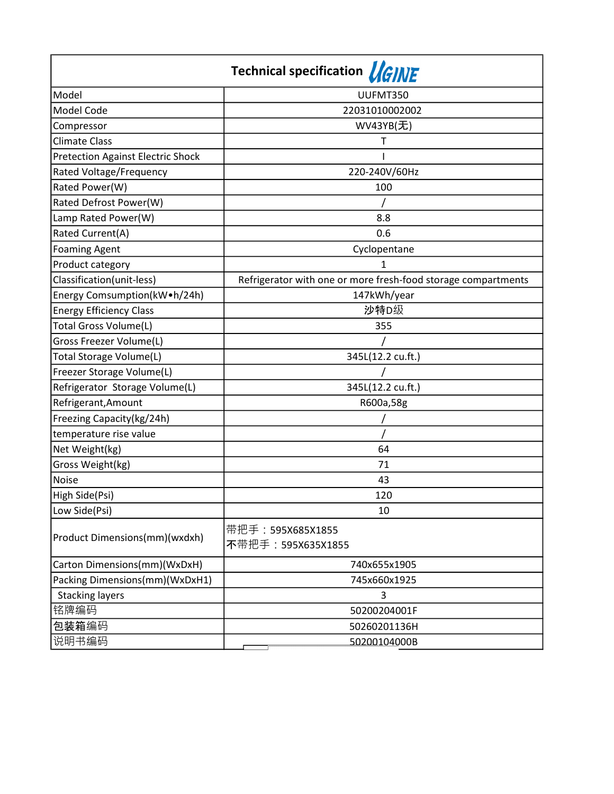| Technical specification <i>VGINE</i>     |                                                               |
|------------------------------------------|---------------------------------------------------------------|
| Model                                    | UUFMT350                                                      |
| Model Code                               | 22031010002002                                                |
| Compressor                               | WV43YB(无)                                                     |
| <b>Climate Class</b>                     | Τ                                                             |
| <b>Pretection Against Electric Shock</b> |                                                               |
| Rated Voltage/Frequency                  | 220-240V/60Hz                                                 |
| Rated Power(W)                           | 100                                                           |
| Rated Defrost Power(W)                   |                                                               |
| Lamp Rated Power(W)                      | 8.8                                                           |
| Rated Current(A)                         | 0.6                                                           |
| <b>Foaming Agent</b>                     | Cyclopentane                                                  |
| Product category                         | 1                                                             |
| Classification(unit-less)                | Refrigerator with one or more fresh-food storage compartments |
| Energy Comsumption(kW•h/24h)             | 147kWh/year                                                   |
| <b>Energy Efficiency Class</b>           | 沙特D级                                                          |
| Total Gross Volume(L)                    | 355                                                           |
| Gross Freezer Volume(L)                  |                                                               |
| Total Storage Volume(L)                  | 345L(12.2 cu.ft.)                                             |
| Freezer Storage Volume(L)                |                                                               |
| Refrigerator Storage Volume(L)           | 345L(12.2 cu.ft.)                                             |
| Refrigerant, Amount                      | R600a,58g                                                     |
| Freezing Capacity(kg/24h)                |                                                               |
| temperature rise value                   |                                                               |
| Net Weight(kg)                           | 64                                                            |
| Gross Weight(kg)                         | 71                                                            |
| <b>Noise</b>                             | 43                                                            |
| High Side(Psi)                           | 120                                                           |
| Low Side(Psi)                            | 10                                                            |
| Product Dimensions(mm)(wxdxh)            | 带把手: 595X685X1855<br>不带把手: 595X635X1855                       |
| Carton Dimensions(mm)(WxDxH)             | 740x655x1905                                                  |
| Packing Dimensions(mm)(WxDxH1)           | 745x660x1925                                                  |
| <b>Stacking layers</b>                   | 3                                                             |
| 铭牌编码                                     | 50200204001F                                                  |
| 包装箱编码                                    | 50260201136H                                                  |
| 说明书编码                                    | 50200104000B                                                  |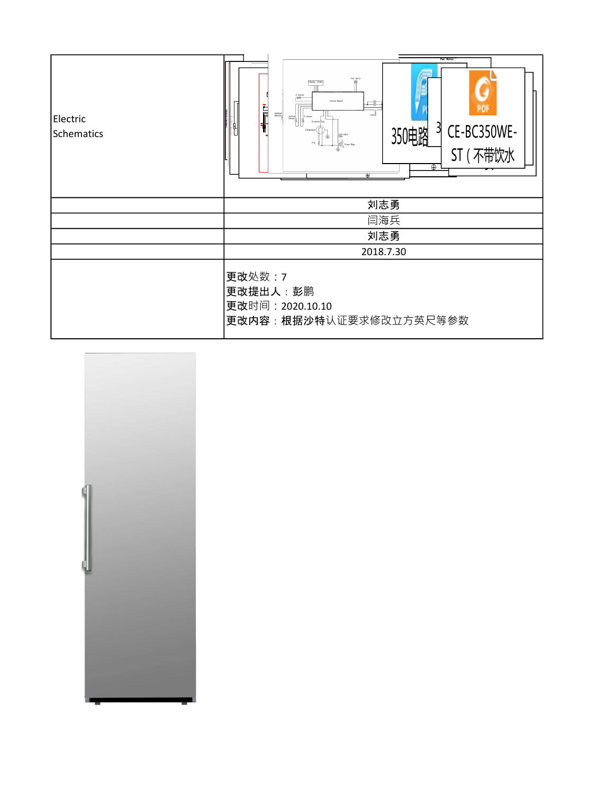